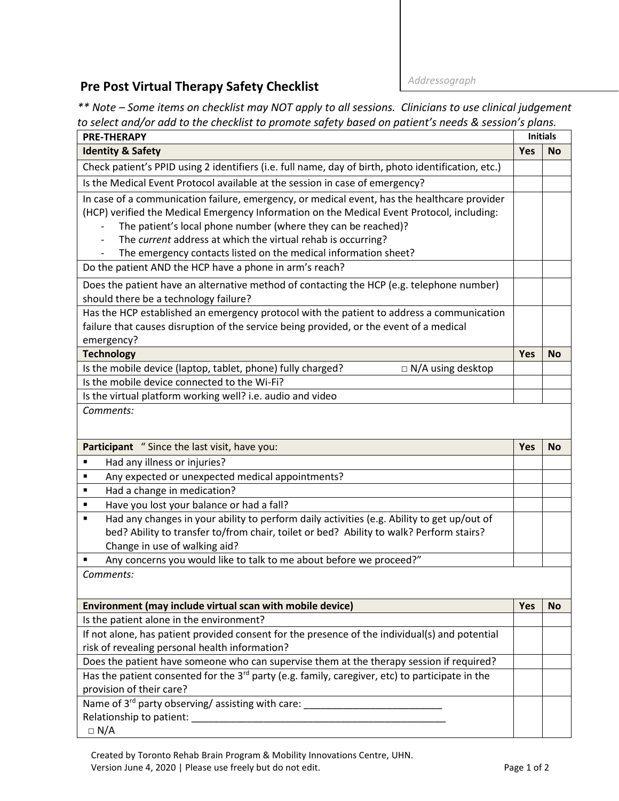## **Pre Post Virtual Therapy Safety Checklist** *Addressograph*

*\*\* Note – Some items on checklist may NOT apply to all sessions. Clinicians to use clinical judgement to select and/or add to the checklist to promote safety based on patient's needs & session's plans.*

| <b>PRE-THERAPY</b>                                                                                          |            |           |  |  |
|-------------------------------------------------------------------------------------------------------------|------------|-----------|--|--|
| <b>Identity &amp; Safety</b>                                                                                | <b>Yes</b> | <b>No</b> |  |  |
| Check patient's PPID using 2 identifiers (i.e. full name, day of birth, photo identification, etc.)         |            |           |  |  |
| Is the Medical Event Protocol available at the session in case of emergency?                                |            |           |  |  |
| In case of a communication failure, emergency, or medical event, has the healthcare provider                |            |           |  |  |
| (HCP) verified the Medical Emergency Information on the Medical Event Protocol, including:                  |            |           |  |  |
| The patient's local phone number (where they can be reached)?                                               |            |           |  |  |
| The current address at which the virtual rehab is occurring?                                                |            |           |  |  |
| The emergency contacts listed on the medical information sheet?                                             |            |           |  |  |
| Do the patient AND the HCP have a phone in arm's reach?                                                     |            |           |  |  |
| Does the patient have an alternative method of contacting the HCP (e.g. telephone number)                   |            |           |  |  |
| should there be a technology failure?                                                                       |            |           |  |  |
| Has the HCP established an emergency protocol with the patient to address a communication                   |            |           |  |  |
| failure that causes disruption of the service being provided, or the event of a medical                     |            |           |  |  |
| emergency?                                                                                                  |            |           |  |  |
| <b>Technology</b>                                                                                           | Yes        | <b>No</b> |  |  |
| Is the mobile device (laptop, tablet, phone) fully charged?<br>□ N/A using desktop                          |            |           |  |  |
| Is the mobile device connected to the Wi-Fi?                                                                |            |           |  |  |
| Is the virtual platform working well? i.e. audio and video                                                  |            |           |  |  |
| Comments:                                                                                                   |            |           |  |  |
|                                                                                                             |            |           |  |  |
| Participant "Since the last visit, have you:                                                                | <b>Yes</b> | <b>No</b> |  |  |
| Had any illness or injuries?<br>٠                                                                           |            |           |  |  |
| Any expected or unexpected medical appointments?<br>٠                                                       |            |           |  |  |
| Had a change in medication?<br>٠                                                                            |            |           |  |  |
| Have you lost your balance or had a fall?<br>٠                                                              |            |           |  |  |
| Had any changes in your ability to perform daily activities (e.g. Ability to get up/out of<br>٠             |            |           |  |  |
| bed? Ability to transfer to/from chair, toilet or bed? Ability to walk? Perform stairs?                     |            |           |  |  |
| Change in use of walking aid?                                                                               |            |           |  |  |
| Any concerns you would like to talk to me about before we proceed?"<br>٠                                    |            |           |  |  |
| Comments:                                                                                                   |            |           |  |  |
|                                                                                                             |            |           |  |  |
| Environment (may include virtual scan with mobile device)                                                   | <b>Yes</b> | <b>No</b> |  |  |
| Is the patient alone in the environment?                                                                    |            |           |  |  |
| If not alone, has patient provided consent for the presence of the individual(s) and potential              |            |           |  |  |
| risk of revealing personal health information?                                                              |            |           |  |  |
| Does the patient have someone who can supervise them at the therapy session if required?                    |            |           |  |  |
| Has the patient consented for the 3 <sup>rd</sup> party (e.g. family, caregiver, etc) to participate in the |            |           |  |  |
| provision of their care?                                                                                    |            |           |  |  |
| Name of $3^{rd}$ party observing/ assisting with care:                                                      |            |           |  |  |
| Relationship to patient:                                                                                    |            |           |  |  |
| $\Box$ N/A                                                                                                  |            |           |  |  |

Created by Toronto Rehab Brain Program & Mobility Innovations Centre, UHN. Version June 4, 2020 | Please use freely but do not edit. Notice that the control of 2